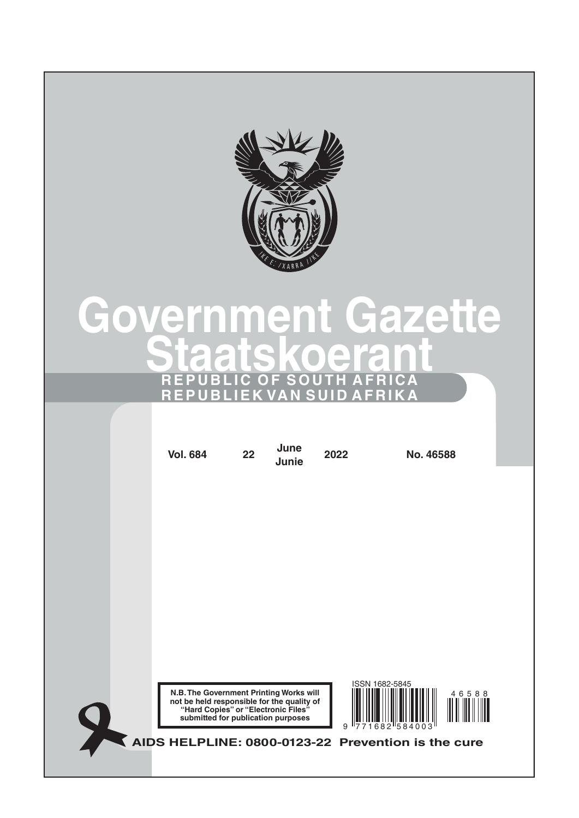

# **Government Gazette Staatskoerant REPUBLIC OF SOUTH AFRICA REPUBLIEK VAN SUID AFRIKA**

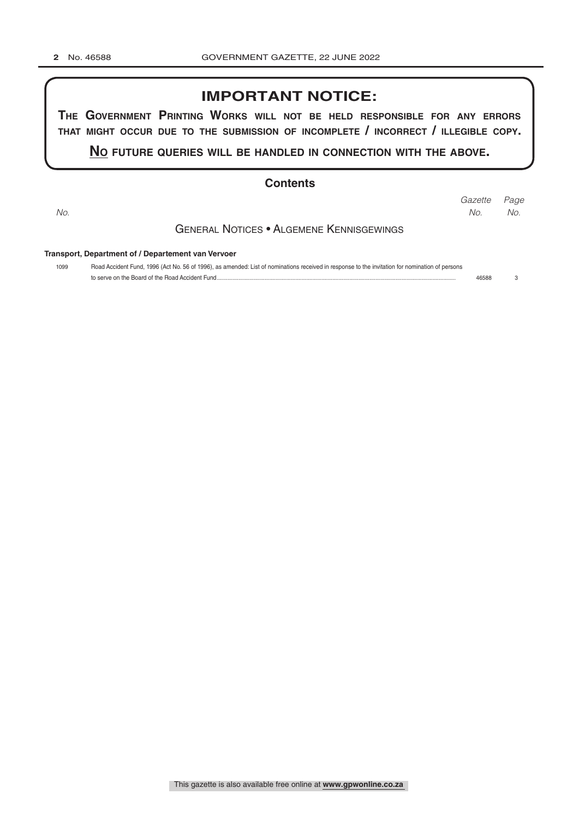### **IMPORTANT NOTICE:**

**The GovernmenT PrinTinG Works Will noT be held resPonsible for any errors ThaT miGhT occur due To The submission of incomPleTe / incorrecT / illeGible coPy.**

**no fuTure queries Will be handled in connecTion WiTh The above.**

#### **Contents**

|      |                                                                                                                                                 | Gazette | Page |
|------|-------------------------------------------------------------------------------------------------------------------------------------------------|---------|------|
| No.  |                                                                                                                                                 | No.     | No.  |
|      | <b>GENERAL NOTICES • ALGEMENE KENNISGEWINGS</b>                                                                                                 |         |      |
|      | Transport, Department of / Departement van Vervoer                                                                                              |         |      |
| 1099 | Road Accident Fund, 1996 (Act No. 56 of 1996), as amended: List of nominations received in response to the invitation for nomination of persons |         |      |
|      |                                                                                                                                                 | 46588   |      |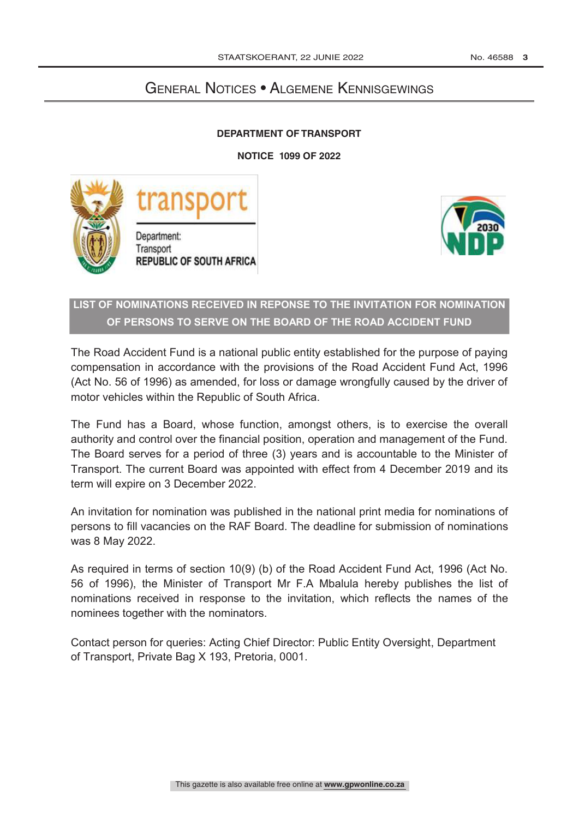# General Notices • Algemene Kennisgewings

### **DEPARTMENT OF TRANSPORT**

**NOTICE 1099 OF 2022**





Department: Transport **REPUBLIC OF SOUTH AFRICA** 



## **LIST OF NOMINATIONS RECEIVED IN REPONSE TO THE INVITATION FOR NOMINATION OF PERSONS TO SERVE ON THE BOARD OF THE ROAD ACCIDENT FUND**

The Road Accident Fund is a national public entity established for the purpose of paying compensation in accordance with the provisions of the Road Accident Fund Act, 1996 (Act No. 56 of 1996) as amended, for loss or damage wrongfully caused by the driver of motor vehicles within the Republic of South Africa.

The Fund has a Board, whose function, amongst others, is to exercise the overall authority and control over the financial position, operation and management of the Fund. The Board serves for a period of three (3) years and is accountable to the Minister of Transport. The current Board was appointed with effect from 4 December 2019 and its term will expire on 3 December 2022.

An invitation for nomination was published in the national print media for nominations of persons to fill vacancies on the RAF Board. The deadline for submission of nominations was 8 May 2022.

As required in terms of section 10(9) (b) of the Road Accident Fund Act, 1996 (Act No. 56 of 1996), the Minister of Transport Mr F.A Mbalula hereby publishes the list of nominations received in response to the invitation, which reflects the names of the nominees together with the nominators.

Contact person for queries: Acting Chief Director: Public Entity Oversight, Department of Transport, Private Bag X 193, Pretoria, 0001.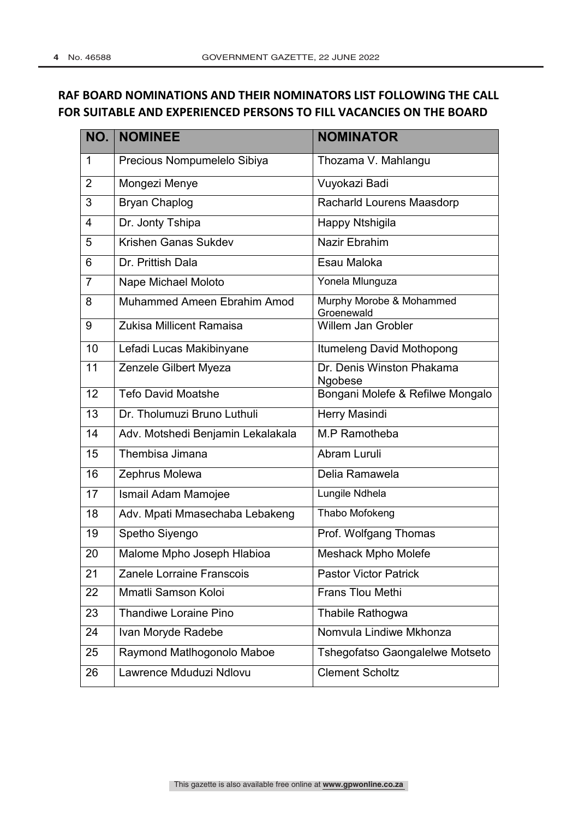### **RAF BOARD NOMINATIONS AND THEIR NOMINATORS LIST FOLLOWING THE CALL FOR SUITABLE AND EXPERIENCED PERSONS TO FILL VACANCIES ON THE BOARD**

| NO.            | <b>NOMINEE</b>                    | <b>NOMINATOR</b>                            |
|----------------|-----------------------------------|---------------------------------------------|
| 1              | Precious Nompumelelo Sibiya       | Thozama V. Mahlangu                         |
| 2              | Mongezi Menye                     | Vuyokazi Badi                               |
| 3              | <b>Bryan Chaplog</b>              | Racharld Lourens Maasdorp                   |
| 4              | Dr. Jonty Tshipa                  | Happy Ntshigila                             |
| 5              | Krishen Ganas Sukdev              | Nazir Ebrahim                               |
| 6              | Dr. Prittish Dala                 | Esau Maloka                                 |
| $\overline{7}$ | Nape Michael Moloto               | Yonela Mlunguza                             |
| 8              | Muhammed Ameen Ebrahim Amod       | Murphy Morobe & Mohammed<br>Groenewald      |
| 9              | Zukisa Millicent Ramaisa          | Willem Jan Grobler                          |
| 10             | Lefadi Lucas Makibinyane          | Itumeleng David Mothopong                   |
| 11             | Zenzele Gilbert Myeza             | Dr. Denis Winston Phakama<br><b>Ngobese</b> |
| 12             | <b>Tefo David Moatshe</b>         | Bongani Molefe & Refilwe Mongalo            |
| 13             | Dr. Tholumuzi Bruno Luthuli       | Herry Masindi                               |
| 14             | Adv. Motshedi Benjamin Lekalakala | M.P Ramotheba                               |
| 15             | Thembisa Jimana                   | Abram Luruli                                |
| 16             | Zephrus Molewa                    | Delia Ramawela                              |
| 17             | Ismail Adam Mamojee               | Lungile Ndhela                              |
| 18             | Adv. Mpati Mmasechaba Lebakeng    | Thabo Mofokeng                              |
| 19             | Spetho Siyengo                    | Prof. Wolfgang Thomas                       |
| 20             | Malome Mpho Joseph Hlabioa        | Meshack Mpho Molefe                         |
| 21             | Zanele Lorraine Franscois         | <b>Pastor Victor Patrick</b>                |
| 22             | Mmatli Samson Koloi               | Frans Tlou Methi                            |
| 23             | Thandiwe Loraine Pino             | Thabile Rathogwa                            |
| 24             | Ivan Moryde Radebe                | Nomvula Lindiwe Mkhonza                     |
| 25             | Raymond Matlhogonolo Maboe        | <b>Tshegofatso Gaongalelwe Motseto</b>      |
| 26             | Lawrence Mduduzi Ndlovu           | <b>Clement Scholtz</b>                      |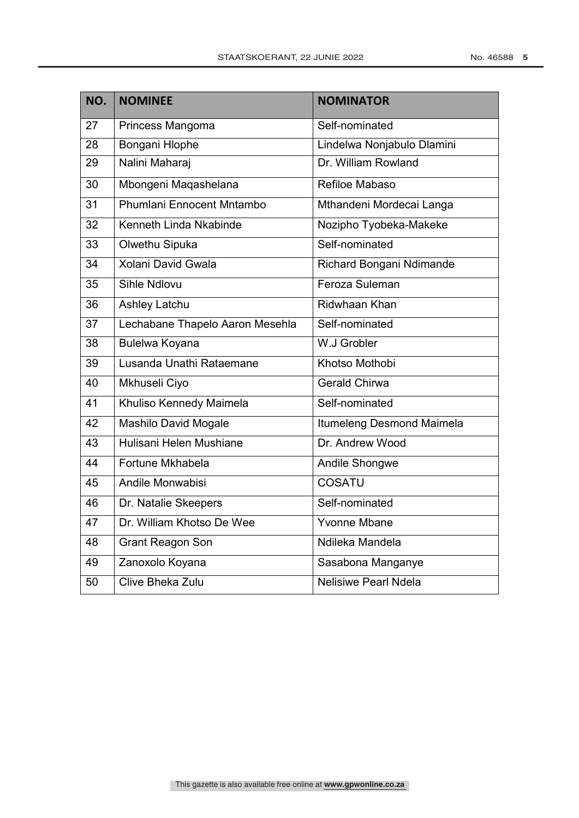| NO.             | <b>NOMINEE</b>                  | <b>NOMINATOR</b>                 |
|-----------------|---------------------------------|----------------------------------|
| 27              | Princess Mangoma                | Self-nominated                   |
| 28              | Bongani Hlophe                  | Lindelwa Nonjabulo Dlamini       |
| 29              | Nalini Maharaj                  | Dr. William Rowland              |
| 30              | Mbongeni Maqashelana            | Refiloe Mabaso                   |
| 31              | Phumlani Ennocent Mntambo       | Mthandeni Mordecai Langa         |
| 32              | Kenneth Linda Nkabinde          | Nozipho Tyobeka-Makeke           |
| 33              | Olwethu Sipuka                  | Self-nominated                   |
| 34              | <b>Xolani David Gwala</b>       | Richard Bongani Ndimande         |
| 35              | <b>Sihle Ndlovu</b>             | Feroza Suleman                   |
| 36              | <b>Ashley Latchu</b>            | Ridwhaan Khan                    |
| $\overline{37}$ | Lechabane Thapelo Aaron Mesehla | Self-nominated                   |
| 38              | <b>Bulelwa Koyana</b>           | W.J Grobler                      |
| 39              | Lusanda Unathi Rataemane        | Khotso Mothobi                   |
| 40              | Mkhuseli Ciyo                   | <b>Gerald Chirwa</b>             |
| 41              | Khuliso Kennedy Maimela         | Self-nominated                   |
| 42              | <b>Mashilo David Mogale</b>     | <b>Itumeleng Desmond Maimela</b> |
| 43              | Hulisani Helen Mushiane         | Dr. Andrew Wood                  |
| 44              | Fortune Mkhabela                | <b>Andile Shongwe</b>            |
| 45              | <b>Andile Monwabisi</b>         | <b>COSATU</b>                    |
| 46              | Dr. Natalie Skeepers            | Self-nominated                   |
| 47              | Dr. William Khotso De Wee       | Yvonne Mbane                     |
| 48              | <b>Grant Reagon Son</b>         | Ndileka Mandela                  |
| 49              | Zanoxolo Koyana                 | Sasabona Manganye                |
| 50              | Clive Bheka Zulu                | <b>Nelisiwe Pearl Ndela</b>      |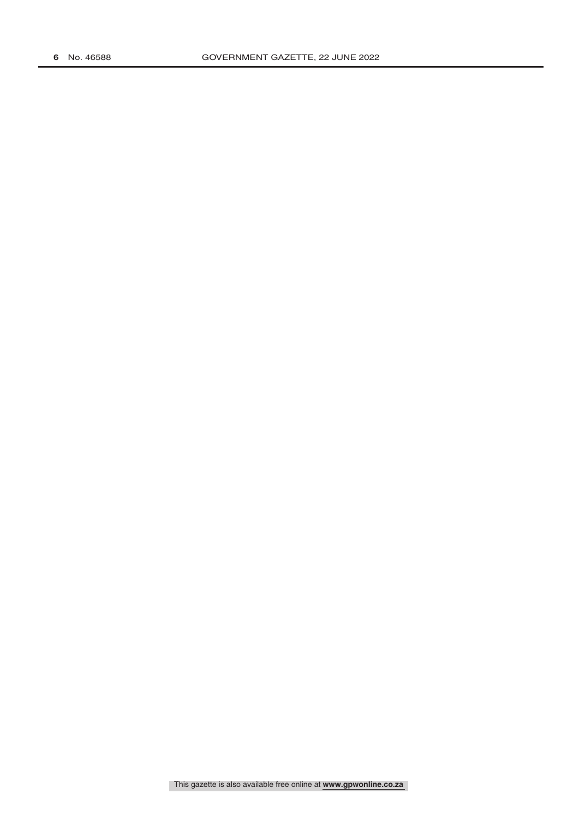This gazette is also available free online at **www.gpwonline.co.za**